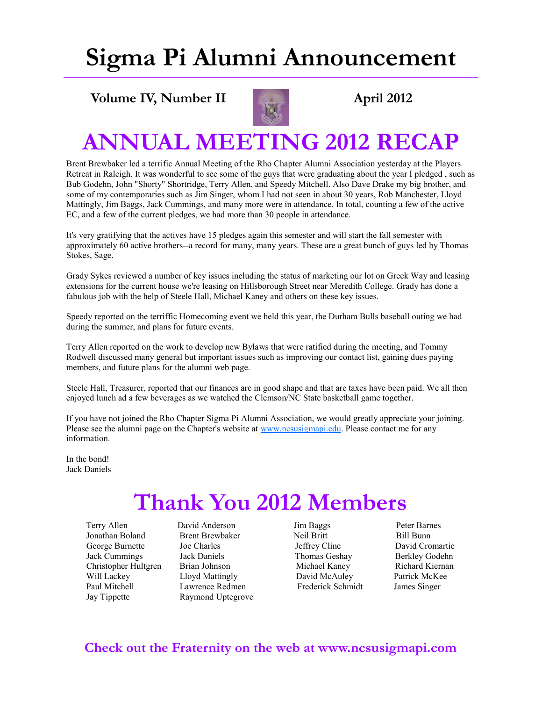# **Sigma Pi Alumni Announcement**

#### **Volume IV, Number II April 2012**



### **ANNUAL MEETING 2012 RECAP**

Brent Brewbaker led a terrific Annual Meeting of the Rho Chapter Alumni Association yesterday at the Players Retreat in Raleigh. It was wonderful to see some of the guys that were graduating about the year I pledged , such as Bub Godehn, John "Shorty" Shortridge, Terry Allen, and Speedy Mitchell. Also Dave Drake my big brother, and some of my contemporaries such as Jim Singer, whom I had not seen in about 30 years, Rob Manchester, Lloyd Mattingly, Jim Baggs, Jack Cummings, and many more were in attendance. In total, counting a few of the active EC, and a few of the current pledges, we had more than 30 people in attendance.

It's very gratifying that the actives have 15 pledges again this semester and will start the fall semester with approximately 60 active brothers--a record for many, many years. These are a great bunch of guys led by Thomas Stokes, Sage.

Grady Sykes reviewed a number of key issues including the status of marketing our lot on Greek Way and leasing extensions for the current house we're leasing on Hillsborough Street near Meredith College. Grady has done a fabulous job with the help of Steele Hall, Michael Kaney and others on these key issues.

Speedy reported on the terriffic Homecoming event we held this year, the Durham Bulls baseball outing we had during the summer, and plans for future events.

Terry Allen reported on the work to develop new Bylaws that were ratified during the meeting, and Tommy Rodwell discussed many general but important issues such as improving our contact list, gaining dues paying members, and future plans for the alumni web page.

Steele Hall, Treasurer, reported that our finances are in good shape and that are taxes have been paid. We all then enjoyed lunch ad a few beverages as we watched the Clemson/NC State basketball game together.

If you have not joined the Rho Chapter Sigma Pi Alumni Association, we would greatly appreciate your joining. Please see the alumni page on the Chapter's website at [www.ncsusigmapi.edu.](http://www.ncsusigmapi.edu) Please contact me for any information.

In the bond! Jack Daniels

## **Thank You 2012 Members**

 Terry Allen David Anderson Jim Baggs Peter Barnes Jonathan Boland Brent Brewbaker Neil Britt Bill Bunn George Burnette Joe Charles Jeffrey Cline David Cromartie Jack Cummings Jack Daniels Thomas Geshay Berkley Godehn Christopher Hultgren Brian Johnson Michael Kaney Richard Kiernan Will Lackey Lloyd Mattingly David McAuley Patrick McKee Paul Mitchell Lawrence Redmen Frederick Schmidt James Singer Jay Tippette Raymond Uptegrove

#### **Check out the Fraternity on the web at www.ncsusigmapi.com**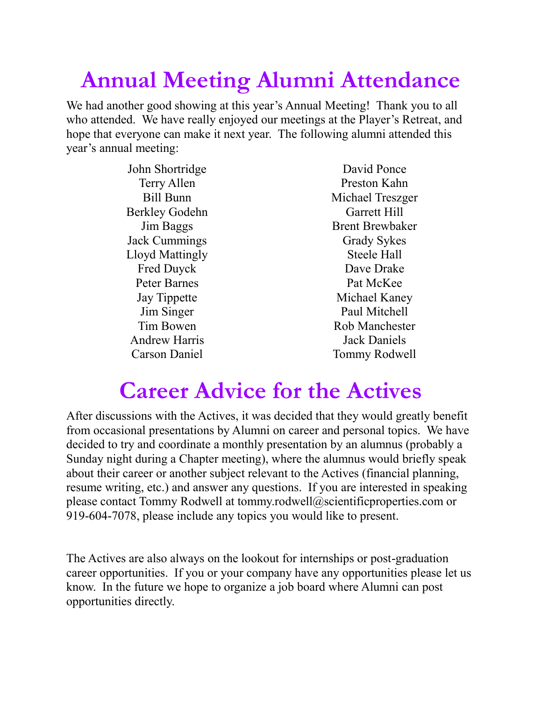# **Annual Meeting Alumni Attendance**

We had another good showing at this year's Annual Meeting! Thank you to all who attended. We have really enjoyed our meetings at the Player's Retreat, and hope that everyone can make it next year. The following alumni attended this year's annual meeting:

> John Shortridge Terry Allen Bill Bunn Berkley Godehn Jim Baggs Jack Cummings Lloyd Mattingly Fred Duyck Peter Barnes Jay Tippette Jim Singer Tim Bowen Andrew Harris Carson Daniel

David Ponce Preston Kahn Michael Treszger Garrett Hill Brent Brewbaker Grady Sykes Steele Hall Dave Drake Pat McKee Michael Kaney Paul Mitchell Rob Manchester Jack Daniels Tommy Rodwell

## **Career Advice for the Actives**

After discussions with the Actives, it was decided that they would greatly benefit from occasional presentations by Alumni on career and personal topics. We have decided to try and coordinate a monthly presentation by an alumnus (probably a Sunday night during a Chapter meeting), where the alumnus would briefly speak about their career or another subject relevant to the Actives (financial planning, resume writing, etc.) and answer any questions. If you are interested in speaking please contact Tommy Rodwell at tommy.rodwell@scientificproperties.com or 919-604-7078, please include any topics you would like to present.

The Actives are also always on the lookout for internships or post-graduation career opportunities. If you or your company have any opportunities please let us know. In the future we hope to organize a job board where Alumni can post opportunities directly.